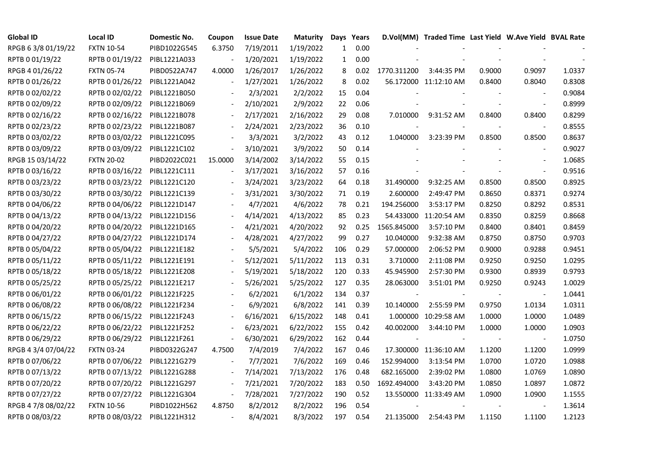| <b>Global ID</b>    | <b>Local ID</b>   | Domestic No. | Coupon                   | <b>Issue Date</b> | <b>Maturity</b> |              | Days Years |             | D.Vol(MM) Traded Time Last Yield W.Ave Yield BVAL Rate |        |                          |        |
|---------------------|-------------------|--------------|--------------------------|-------------------|-----------------|--------------|------------|-------------|--------------------------------------------------------|--------|--------------------------|--------|
| RPGB 63/8 01/19/22  | <b>FXTN 10-54</b> | PIBD1022G545 | 6.3750                   | 7/19/2011         | 1/19/2022       | $\mathbf{1}$ | 0.00       |             |                                                        |        |                          |        |
| RPTB 0 01/19/22     | RPTB 0 01/19/22   | PIBL1221A033 |                          | 1/20/2021         | 1/19/2022       | $\mathbf{1}$ | 0.00       |             |                                                        |        |                          |        |
| RPGB 4 01/26/22     | <b>FXTN 05-74</b> | PIBD0522A747 | 4.0000                   | 1/26/2017         | 1/26/2022       | 8            | 0.02       | 1770.311200 | 3:44:35 PM                                             | 0.9000 | 0.9097                   | 1.0337 |
| RPTB 0 01/26/22     | RPTB 0 01/26/22   | PIBL1221A042 | $\overline{a}$           | 1/27/2021         | 1/26/2022       | 8            | 0.02       |             | 56.172000 11:12:10 AM                                  | 0.8400 | 0.8040                   | 0.8308 |
| RPTB 0 02/02/22     | RPTB 0 02/02/22   | PIBL1221B050 |                          | 2/3/2021          | 2/2/2022        | 15           | 0.04       |             |                                                        |        |                          | 0.9084 |
| RPTB 0 02/09/22     | RPTB 0 02/09/22   | PIBL1221B069 |                          | 2/10/2021         | 2/9/2022        | 22           | 0.06       |             |                                                        |        |                          | 0.8999 |
| RPTB 0 02/16/22     | RPTB 0 02/16/22   | PIBL1221B078 |                          | 2/17/2021         | 2/16/2022       | 29           | 0.08       | 7.010000    | 9:31:52 AM                                             | 0.8400 | 0.8400                   | 0.8299 |
| RPTB 0 02/23/22     | RPTB 0 02/23/22   | PIBL1221B087 |                          | 2/24/2021         | 2/23/2022       | 36           | 0.10       |             |                                                        |        | $\overline{\phantom{a}}$ | 0.8555 |
| RPTB 0 03/02/22     | RPTB 0 03/02/22   | PIBL1221C095 |                          | 3/3/2021          | 3/2/2022        | 43           | 0.12       | 1.040000    | 3:23:39 PM                                             | 0.8500 | 0.8500                   | 0.8637 |
| RPTB 0 03/09/22     | RPTB 0 03/09/22   | PIBL1221C102 | $\blacksquare$           | 3/10/2021         | 3/9/2022        | 50           | 0.14       |             |                                                        |        | $\sim$                   | 0.9027 |
| RPGB 15 03/14/22    | <b>FXTN 20-02</b> | PIBD2022C021 | 15.0000                  | 3/14/2002         | 3/14/2022       | 55           | 0.15       |             |                                                        |        | $\overline{\phantom{a}}$ | 1.0685 |
| RPTB 0 03/16/22     | RPTB 0 03/16/22   | PIBL1221C111 | $\overline{\phantom{a}}$ | 3/17/2021         | 3/16/2022       | 57           | 0.16       |             |                                                        |        | $\blacksquare$           | 0.9516 |
| RPTB 0 03/23/22     | RPTB 0 03/23/22   | PIBL1221C120 |                          | 3/24/2021         | 3/23/2022       | 64           | 0.18       | 31.490000   | 9:32:25 AM                                             | 0.8500 | 0.8500                   | 0.8925 |
| RPTB 0 03/30/22     | RPTB 0 03/30/22   | PIBL1221C139 |                          | 3/31/2021         | 3/30/2022       | 71           | 0.19       | 2.600000    | 2:49:47 PM                                             | 0.8650 | 0.8371                   | 0.9274 |
| RPTB 0 04/06/22     | RPTB 0 04/06/22   | PIBL1221D147 |                          | 4/7/2021          | 4/6/2022        | 78           | 0.21       | 194.256000  | 3:53:17 PM                                             | 0.8250 | 0.8292                   | 0.8531 |
| RPTB 0 04/13/22     | RPTB 0 04/13/22   | PIBL1221D156 |                          | 4/14/2021         | 4/13/2022       | 85           | 0.23       |             | 54.433000 11:20:54 AM                                  | 0.8350 | 0.8259                   | 0.8668 |
| RPTB 0 04/20/22     | RPTB 0 04/20/22   | PIBL1221D165 |                          | 4/21/2021         | 4/20/2022       | 92           | 0.25       | 1565.845000 | 3:57:10 PM                                             | 0.8400 | 0.8401                   | 0.8459 |
| RPTB 0 04/27/22     | RPTB 0 04/27/22   | PIBL1221D174 | $\frac{1}{2}$            | 4/28/2021         | 4/27/2022       | 99           | 0.27       | 10.040000   | 9:32:38 AM                                             | 0.8750 | 0.8750                   | 0.9703 |
| RPTB 0 05/04/22     | RPTB 0 05/04/22   | PIBL1221E182 |                          | 5/5/2021          | 5/4/2022        | 106          | 0.29       | 57.000000   | 2:06:52 PM                                             | 0.9000 | 0.9288                   | 0.9451 |
| RPTB 0 05/11/22     | RPTB 0 05/11/22   | PIBL1221E191 |                          | 5/12/2021         | 5/11/2022       | 113          | 0.31       | 3.710000    | 2:11:08 PM                                             | 0.9250 | 0.9250                   | 1.0295 |
| RPTB 0 05/18/22     | RPTB 0 05/18/22   | PIBL1221E208 |                          | 5/19/2021         | 5/18/2022       | 120          | 0.33       | 45.945900   | 2:57:30 PM                                             | 0.9300 | 0.8939                   | 0.9793 |
| RPTB 0 05/25/22     | RPTB 0 05/25/22   | PIBL1221E217 |                          | 5/26/2021         | 5/25/2022       | 127          | 0.35       | 28.063000   | 3:51:01 PM                                             | 0.9250 | 0.9243                   | 1.0029 |
| RPTB 0 06/01/22     | RPTB 0 06/01/22   | PIBL1221F225 |                          | 6/2/2021          | 6/1/2022        | 134          | 0.37       |             |                                                        |        |                          | 1.0441 |
| RPTB 0 06/08/22     | RPTB 0 06/08/22   | PIBL1221F234 |                          | 6/9/2021          | 6/8/2022        | 141          | 0.39       | 10.140000   | 2:55:59 PM                                             | 0.9750 | 1.0134                   | 1.0311 |
| RPTB 0 06/15/22     | RPTB 0 06/15/22   | PIBL1221F243 | $\overline{\phantom{a}}$ | 6/16/2021         | 6/15/2022       | 148          | 0.41       | 1.000000    | 10:29:58 AM                                            | 1.0000 | 1.0000                   | 1.0489 |
| RPTB 0 06/22/22     | RPTB 0 06/22/22   | PIBL1221F252 |                          | 6/23/2021         | 6/22/2022       | 155          | 0.42       | 40.002000   | 3:44:10 PM                                             | 1.0000 | 1.0000                   | 1.0903 |
| RPTB 0 06/29/22     | RPTB 0 06/29/22   | PIBL1221F261 | $\frac{1}{2}$            | 6/30/2021         | 6/29/2022       | 162          | 0.44       |             |                                                        |        | $\overline{\phantom{a}}$ | 1.0750 |
| RPGB 4 3/4 07/04/22 | <b>FXTN 03-24</b> | PIBD0322G247 | 4.7500                   | 7/4/2019          | 7/4/2022        | 167          | 0.46       |             | 17.300000 11:36:10 AM                                  | 1.1200 | 1.1200                   | 1.0999 |
| RPTB 0 07/06/22     | RPTB 0 07/06/22   | PIBL1221G279 |                          | 7/7/2021          | 7/6/2022        | 169          | 0.46       | 152.994000  | 3:13:54 PM                                             | 1.0700 | 1.0720                   | 1.0988 |
| RPTB 0 07/13/22     | RPTB 0 07/13/22   | PIBL1221G288 |                          | 7/14/2021         | 7/13/2022       | 176          | 0.48       | 682.165000  | 2:39:02 PM                                             | 1.0800 | 1.0769                   | 1.0890 |
| RPTB 0 07/20/22     | RPTB 0 07/20/22   | PIBL1221G297 | $\blacksquare$           | 7/21/2021         | 7/20/2022       | 183          | 0.50       | 1692.494000 | 3:43:20 PM                                             | 1.0850 | 1.0897                   | 1.0872 |
| RPTB 0 07/27/22     | RPTB 0 07/27/22   | PIBL1221G304 | $\blacksquare$           | 7/28/2021         | 7/27/2022       | 190          | 0.52       |             | 13.550000 11:33:49 AM                                  | 1.0900 | 1.0900                   | 1.1555 |
| RPGB 4 7/8 08/02/22 | <b>FXTN 10-56</b> | PIBD1022H562 | 4.8750                   | 8/2/2012          | 8/2/2022        | 196          | 0.54       |             |                                                        |        |                          | 1.3614 |
| RPTB 0 08/03/22     | RPTB 0 08/03/22   | PIBL1221H312 |                          | 8/4/2021          | 8/3/2022        | 197          | 0.54       | 21.135000   | 2:54:43 PM                                             | 1.1150 | 1.1100                   | 1.2123 |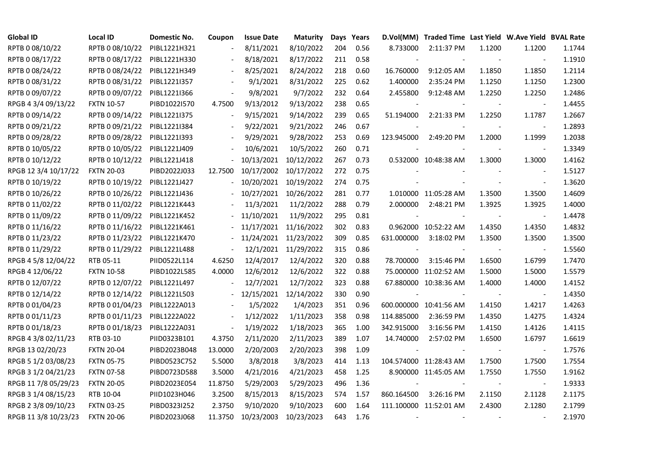| <b>Global ID</b>     | Local ID          | Domestic No. | Coupon                   | <b>Issue Date</b>     | <b>Maturity</b>       |     | Days Years |                          | D.Vol(MM) Traded Time Last Yield W.Ave Yield BVAL Rate |        |                          |        |
|----------------------|-------------------|--------------|--------------------------|-----------------------|-----------------------|-----|------------|--------------------------|--------------------------------------------------------|--------|--------------------------|--------|
| RPTB 0 08/10/22      | RPTB 0 08/10/22   | PIBL1221H321 |                          | 8/11/2021             | 8/10/2022             | 204 | 0.56       | 8.733000                 | 2:11:37 PM                                             | 1.1200 | 1.1200                   | 1.1744 |
| RPTB 0 08/17/22      | RPTB 0 08/17/22   | PIBL1221H330 |                          | 8/18/2021             | 8/17/2022             | 211 | 0.58       |                          |                                                        |        |                          | 1.1910 |
| RPTB 0 08/24/22      | RPTB 0 08/24/22   | PIBL1221H349 | $\blacksquare$           | 8/25/2021             | 8/24/2022             | 218 | 0.60       | 16.760000                | 9:12:05 AM                                             | 1.1850 | 1.1850                   | 1.2114 |
| RPTB 0 08/31/22      | RPTB 0 08/31/22   | PIBL12211357 | $\Box$                   | 9/1/2021              | 8/31/2022             | 225 | 0.62       | 1.400000                 | 2:35:24 PM                                             | 1.1250 | 1.1250                   | 1.2300 |
| RPTB 0 09/07/22      | RPTB 0 09/07/22   | PIBL1221I366 | $\Box$                   | 9/8/2021              | 9/7/2022              | 232 | 0.64       | 2.455800                 | 9:12:48 AM                                             | 1.2250 | 1.2250                   | 1.2486 |
| RPGB 4 3/4 09/13/22  | <b>FXTN 10-57</b> | PIBD1022I570 | 4.7500                   | 9/13/2012             | 9/13/2022             | 238 | 0.65       |                          |                                                        |        | $\overline{\phantom{a}}$ | 1.4455 |
| RPTB 0 09/14/22      | RPTB 0 09/14/22   | PIBL1221I375 | $\blacksquare$           | 9/15/2021             | 9/14/2022             | 239 | 0.65       | 51.194000                | 2:21:33 PM                                             | 1.2250 | 1.1787                   | 1.2667 |
| RPTB 0 09/21/22      | RPTB 0 09/21/22   | PIBL1221I384 |                          | 9/22/2021             | 9/21/2022             | 246 | 0.67       |                          |                                                        |        |                          | 1.2893 |
| RPTB 0 09/28/22      | RPTB 0 09/28/22   | PIBL1221I393 |                          | 9/29/2021             | 9/28/2022             | 253 | 0.69       | 123.945000               | 2:49:20 PM                                             | 1.2000 | 1.1999                   | 1.2038 |
| RPTB 0 10/05/22      | RPTB 0 10/05/22   | PIBL1221J409 | $\overline{\phantom{a}}$ | 10/6/2021             | 10/5/2022             | 260 | 0.71       |                          |                                                        |        | $\overline{\phantom{a}}$ | 1.3349 |
| RPTB 0 10/12/22      | RPTB 0 10/12/22   | PIBL1221J418 | $\overline{\phantom{0}}$ | 10/13/2021            | 10/12/2022            | 267 | 0.73       |                          | 0.532000 10:48:38 AM                                   | 1.3000 | 1.3000                   | 1.4162 |
| RPGB 12 3/4 10/17/22 | <b>FXTN 20-03</b> | PIBD2022J033 | 12.7500                  | 10/17/2002            | 10/17/2022            | 272 | 0.75       |                          |                                                        |        | $\blacksquare$           | 1.5127 |
| RPTB 0 10/19/22      | RPTB 0 10/19/22   | PIBL1221J427 |                          |                       | 10/20/2021 10/19/2022 | 274 | 0.75       |                          |                                                        |        | $\omega$                 | 1.3620 |
| RPTB 0 10/26/22      | RPTB 0 10/26/22   | PIBL1221J436 |                          | 10/27/2021 10/26/2022 |                       | 281 | 0.77       |                          | 1.010000 11:05:28 AM                                   | 1.3500 | 1.3500                   | 1.4609 |
| RPTB 0 11/02/22      | RPTB 0 11/02/22   | PIBL1221K443 |                          | 11/3/2021             | 11/2/2022             | 288 | 0.79       | 2.000000                 | 2:48:21 PM                                             | 1.3925 | 1.3925                   | 1.4000 |
| RPTB 0 11/09/22      | RPTB 0 11/09/22   | PIBL1221K452 |                          | 11/10/2021            | 11/9/2022             | 295 | 0.81       |                          |                                                        |        |                          | 1.4478 |
| RPTB 0 11/16/22      | RPTB 0 11/16/22   | PIBL1221K461 |                          |                       | 11/17/2021 11/16/2022 | 302 | 0.83       |                          | 0.962000 10:52:22 AM                                   | 1.4350 | 1.4350                   | 1.4832 |
| RPTB 0 11/23/22      | RPTB 0 11/23/22   | PIBL1221K470 | $\blacksquare$           |                       | 11/24/2021 11/23/2022 | 309 | 0.85       | 631.000000               | 3:18:02 PM                                             | 1.3500 | 1.3500                   | 1.3500 |
| RPTB 0 11/29/22      | RPTB 0 11/29/22   | PIBL1221L488 | $\overline{\phantom{a}}$ |                       | 12/1/2021 11/29/2022  | 315 | 0.86       |                          |                                                        |        | $\blacksquare$           | 1.5560 |
| RPGB 4 5/8 12/04/22  | RTB 05-11         | PIID0522L114 | 4.6250                   | 12/4/2017             | 12/4/2022             | 320 | 0.88       | 78.700000                | 3:15:46 PM                                             | 1.6500 | 1.6799                   | 1.7470 |
| RPGB 4 12/06/22      | <b>FXTN 10-58</b> | PIBD1022L585 | 4.0000                   | 12/6/2012             | 12/6/2022             | 322 | 0.88       |                          | 75.000000 11:02:52 AM                                  | 1.5000 | 1.5000                   | 1.5579 |
| RPTB 0 12/07/22      | RPTB 0 12/07/22   | PIBL1221L497 |                          | 12/7/2021             | 12/7/2022             | 323 | 0.88       |                          | 67.880000 10:38:36 AM                                  | 1.4000 | 1.4000                   | 1.4152 |
| RPTB 0 12/14/22      | RPTB 0 12/14/22   | PIBL1221L503 |                          |                       | 12/15/2021 12/14/2022 | 330 | 0.90       |                          |                                                        |        |                          | 1.4350 |
| RPTB 0 01/04/23      | RPTB 0 01/04/23   | PIBL1222A013 |                          | 1/5/2022              | 1/4/2023              | 351 | 0.96       |                          | 600.000000 10:41:56 AM                                 | 1.4150 | 1.4217                   | 1.4263 |
| RPTB 0 01/11/23      | RPTB 0 01/11/23   | PIBL1222A022 | $\blacksquare$           | 1/12/2022             | 1/11/2023             | 358 | 0.98       | 114.885000               | 2:36:59 PM                                             | 1.4350 | 1.4275                   | 1.4324 |
| RPTB 0 01/18/23      | RPTB 0 01/18/23   | PIBL1222A031 | $\blacksquare$           | 1/19/2022             | 1/18/2023             | 365 | 1.00       | 342.915000               | 3:16:56 PM                                             | 1.4150 | 1.4126                   | 1.4115 |
| RPGB 4 3/8 02/11/23  | RTB 03-10         | PIID0323B101 | 4.3750                   | 2/11/2020             | 2/11/2023             | 389 | 1.07       | 14.740000                | 2:57:02 PM                                             | 1.6500 | 1.6797                   | 1.6619 |
| RPGB 13 02/20/23     | <b>FXTN 20-04</b> | PIBD2023B048 | 13.0000                  | 2/20/2003             | 2/20/2023             | 398 | 1.09       | $\sim$                   |                                                        |        | $\overline{\phantom{a}}$ | 1.7576 |
| RPGB 5 1/2 03/08/23  | <b>FXTN 05-75</b> | PIBD0523C752 | 5.5000                   | 3/8/2018              | 3/8/2023              | 414 | 1.13       |                          | 104.574000 11:28:43 AM                                 | 1.7500 | 1.7500                   | 1.7554 |
| RPGB 3 1/2 04/21/23  | <b>FXTN 07-58</b> | PIBD0723D588 | 3.5000                   | 4/21/2016             | 4/21/2023             | 458 | 1.25       |                          | 8.900000 11:45:05 AM                                   | 1.7550 | 1.7550                   | 1.9162 |
| RPGB 11 7/8 05/29/23 | <b>FXTN 20-05</b> | PIBD2023E054 | 11.8750                  | 5/29/2003             | 5/29/2023             | 496 | 1.36       |                          |                                                        |        |                          | 1.9333 |
| RPGB 3 1/4 08/15/23  | RTB 10-04         | PIID1023H046 | 3.2500                   | 8/15/2013             | 8/15/2023             | 574 | 1.57       | 860.164500               | 3:26:16 PM                                             | 2.1150 | 2.1128                   | 2.1175 |
| RPGB 2 3/8 09/10/23  | <b>FXTN 03-25</b> | PIBD0323I252 | 2.3750                   | 9/10/2020             | 9/10/2023             | 600 | 1.64       |                          | 111.100000 11:52:01 AM                                 | 2.4300 | 2.1280                   | 2.1799 |
| RPGB 11 3/8 10/23/23 | <b>FXTN 20-06</b> | PIBD2023J068 | 11.3750                  | 10/23/2003            | 10/23/2023            | 643 | 1.76       | $\overline{\phantom{a}}$ |                                                        |        |                          | 2.1970 |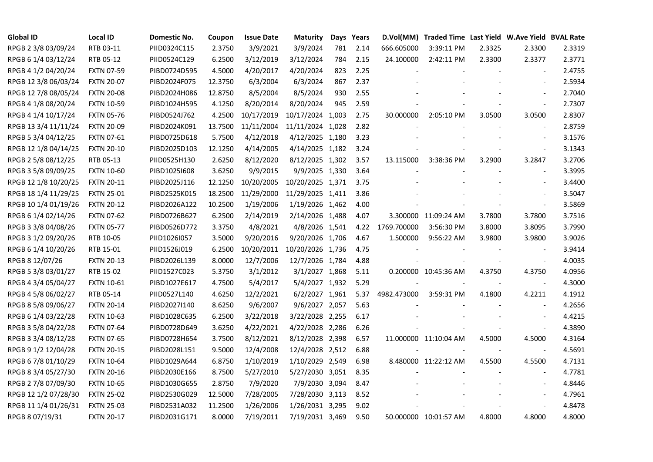| <b>Global ID</b>     | <b>Local ID</b>   | Domestic No. | Coupon  | <b>Issue Date</b> | <b>Maturity</b>  |     | Days Years |             | D.Vol(MM) Traded Time Last Yield W.Ave Yield BVAL Rate |        |                          |        |
|----------------------|-------------------|--------------|---------|-------------------|------------------|-----|------------|-------------|--------------------------------------------------------|--------|--------------------------|--------|
| RPGB 2 3/8 03/09/24  | RTB 03-11         | PIID0324C115 | 2.3750  | 3/9/2021          | 3/9/2024         | 781 | 2.14       | 666.605000  | 3:39:11 PM                                             | 2.3325 | 2.3300                   | 2.3319 |
| RPGB 6 1/4 03/12/24  | RTB 05-12         | PIID0524C129 | 6.2500  | 3/12/2019         | 3/12/2024        | 784 | 2.15       | 24.100000   | 2:42:11 PM                                             | 2.3300 | 2.3377                   | 2.3771 |
| RPGB 4 1/2 04/20/24  | <b>FXTN 07-59</b> | PIBD0724D595 | 4.5000  | 4/20/2017         | 4/20/2024        | 823 | 2.25       |             |                                                        |        | $\blacksquare$           | 2.4755 |
| RPGB 12 3/8 06/03/24 | <b>FXTN 20-07</b> | PIBD2024F075 | 12.3750 | 6/3/2004          | 6/3/2024         | 867 | 2.37       |             |                                                        |        | $\overline{\phantom{a}}$ | 2.5934 |
| RPGB 12 7/8 08/05/24 | <b>FXTN 20-08</b> | PIBD2024H086 | 12.8750 | 8/5/2004          | 8/5/2024         | 930 | 2.55       |             |                                                        |        | $\sim$                   | 2.7040 |
| RPGB 4 1/8 08/20/24  | <b>FXTN 10-59</b> | PIBD1024H595 | 4.1250  | 8/20/2014         | 8/20/2024        | 945 | 2.59       |             |                                                        |        | $\blacksquare$           | 2.7307 |
| RPGB 4 1/4 10/17/24  | <b>FXTN 05-76</b> | PIBD0524J762 | 4.2500  | 10/17/2019        | 10/17/2024 1,003 |     | 2.75       | 30.000000   | 2:05:10 PM                                             | 3.0500 | 3.0500                   | 2.8307 |
| RPGB 13 3/4 11/11/24 | <b>FXTN 20-09</b> | PIBD2024K091 | 13.7500 | 11/11/2004        | 11/11/2024 1,028 |     | 2.82       |             |                                                        |        | $\blacksquare$           | 2.8759 |
| RPGB 5 3/4 04/12/25  | <b>FXTN 07-61</b> | PIBD0725D618 | 5.7500  | 4/12/2018         | 4/12/2025 1,180  |     | 3.23       |             |                                                        |        |                          | 3.1576 |
| RPGB 12 1/8 04/14/25 | <b>FXTN 20-10</b> | PIBD2025D103 | 12.1250 | 4/14/2005         | 4/14/2025 1,182  |     | 3.24       |             |                                                        |        | $\blacksquare$           | 3.1343 |
| RPGB 2 5/8 08/12/25  | RTB 05-13         | PIID0525H130 | 2.6250  | 8/12/2020         | 8/12/2025 1,302  |     | 3.57       | 13.115000   | 3:38:36 PM                                             | 3.2900 | 3.2847                   | 3.2706 |
| RPGB 3 5/8 09/09/25  | <b>FXTN 10-60</b> | PIBD10251608 | 3.6250  | 9/9/2015          | 9/9/2025 1,330   |     | 3.64       |             |                                                        |        | $\blacksquare$           | 3.3995 |
| RPGB 12 1/8 10/20/25 | <b>FXTN 20-11</b> | PIBD2025J116 | 12.1250 | 10/20/2005        | 10/20/2025 1,371 |     | 3.75       |             |                                                        |        |                          | 3.4400 |
| RPGB 18 1/4 11/29/25 | <b>FXTN 25-01</b> | PIBD2525K015 | 18.2500 | 11/29/2000        | 11/29/2025 1,411 |     | 3.86       |             |                                                        |        |                          | 3.5047 |
| RPGB 10 1/4 01/19/26 | <b>FXTN 20-12</b> | PIBD2026A122 | 10.2500 | 1/19/2006         | 1/19/2026 1,462  |     | 4.00       |             |                                                        |        | $\blacksquare$           | 3.5869 |
| RPGB 6 1/4 02/14/26  | <b>FXTN 07-62</b> | PIBD0726B627 | 6.2500  | 2/14/2019         | 2/14/2026 1,488  |     | 4.07       |             | 3.300000 11:09:24 AM                                   | 3.7800 | 3.7800                   | 3.7516 |
| RPGB 3 3/8 04/08/26  | <b>FXTN 05-77</b> | PIBD0526D772 | 3.3750  | 4/8/2021          | 4/8/2026 1,541   |     | 4.22       | 1769.700000 | 3:56:30 PM                                             | 3.8000 | 3.8095                   | 3.7990 |
| RPGB 3 1/2 09/20/26  | RTB 10-05         | PIID1026I057 | 3.5000  | 9/20/2016         | 9/20/2026 1,706  |     | 4.67       | 1.500000    | 9:56:22 AM                                             | 3.9800 | 3.9800                   | 3.9026 |
| RPGB 6 1/4 10/20/26  | RTB 15-01         | PIID1526J019 | 6.2500  | 10/20/2011        | 10/20/2026 1,736 |     | 4.75       |             |                                                        |        | $\blacksquare$           | 3.9414 |
| RPGB 8 12/07/26      | <b>FXTN 20-13</b> | PIBD2026L139 | 8.0000  | 12/7/2006         | 12/7/2026 1,784  |     | 4.88       |             |                                                        |        | $\blacksquare$           | 4.0035 |
| RPGB 5 3/8 03/01/27  | RTB 15-02         | PIID1527C023 | 5.3750  | 3/1/2012          | 3/1/2027 1,868   |     | 5.11       |             | 0.200000 10:45:36 AM                                   | 4.3750 | 4.3750                   | 4.0956 |
| RPGB 4 3/4 05/04/27  | <b>FXTN 10-61</b> | PIBD1027E617 | 4.7500  | 5/4/2017          | 5/4/2027 1,932   |     | 5.29       |             |                                                        |        | $\sim$                   | 4.3000 |
| RPGB 4 5/8 06/02/27  | RTB 05-14         | PIID0527L140 | 4.6250  | 12/2/2021         | 6/2/2027 1,961   |     | 5.37       | 4982.473000 | 3:59:31 PM                                             | 4.1800 | 4.2211                   | 4.1912 |
| RPGB 8 5/8 09/06/27  | <b>FXTN 20-14</b> | PIBD2027I140 | 8.6250  | 9/6/2007          | 9/6/2027 2,057   |     | 5.63       |             |                                                        |        |                          | 4.2656 |
| RPGB 6 1/4 03/22/28  | <b>FXTN 10-63</b> | PIBD1028C635 | 6.2500  | 3/22/2018         | 3/22/2028 2,255  |     | 6.17       |             |                                                        |        |                          | 4.4215 |
| RPGB 3 5/8 04/22/28  | <b>FXTN 07-64</b> | PIBD0728D649 | 3.6250  | 4/22/2021         | 4/22/2028 2,286  |     | 6.26       |             |                                                        |        | $\blacksquare$           | 4.3890 |
| RPGB 3 3/4 08/12/28  | <b>FXTN 07-65</b> | PIBD0728H654 | 3.7500  | 8/12/2021         | 8/12/2028 2,398  |     | 6.57       |             | 11.000000 11:10:04 AM                                  | 4.5000 | 4.5000                   | 4.3164 |
| RPGB 9 1/2 12/04/28  | <b>FXTN 20-15</b> | PIBD2028L151 | 9.5000  | 12/4/2008         | 12/4/2028 2,512  |     | 6.88       |             |                                                        |        | $\blacksquare$           | 4.5691 |
| RPGB 6 7/8 01/10/29  | <b>FXTN 10-64</b> | PIBD1029A644 | 6.8750  | 1/10/2019         | 1/10/2029 2,549  |     | 6.98       |             | 8.480000 11:22:12 AM                                   | 4.5500 | 4.5500                   | 4.7131 |
| RPGB 8 3/4 05/27/30  | <b>FXTN 20-16</b> | PIBD2030E166 | 8.7500  | 5/27/2010         | 5/27/2030 3,051  |     | 8.35       |             |                                                        |        |                          | 4.7781 |
| RPGB 2 7/8 07/09/30  | <b>FXTN 10-65</b> | PIBD1030G655 | 2.8750  | 7/9/2020          | 7/9/2030 3,094   |     | 8.47       |             |                                                        |        |                          | 4.8446 |
| RPGB 12 1/2 07/28/30 | <b>FXTN 25-02</b> | PIBD2530G029 | 12.5000 | 7/28/2005         | 7/28/2030 3,113  |     | 8.52       |             |                                                        |        |                          | 4.7961 |
| RPGB 11 1/4 01/26/31 | <b>FXTN 25-03</b> | PIBD2531A032 | 11.2500 | 1/26/2006         | 1/26/2031 3,295  |     | 9.02       |             |                                                        |        | $\blacksquare$           | 4.8478 |
| RPGB 8 07/19/31      | <b>FXTN 20-17</b> | PIBD2031G171 | 8.0000  | 7/19/2011         | 7/19/2031 3,469  |     | 9.50       |             | 50.000000 10:01:57 AM                                  | 4.8000 | 4.8000                   | 4.8000 |